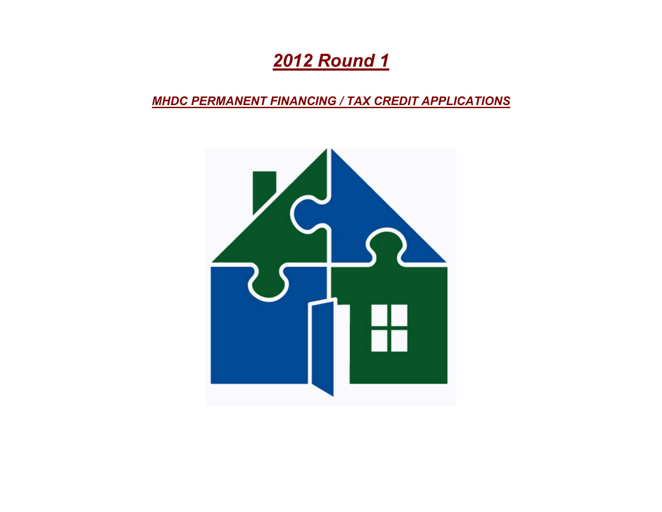# *2012 Round 1*

*MHDC PERMANENT FINANCING / TAX CREDIT APPLICATIONS*

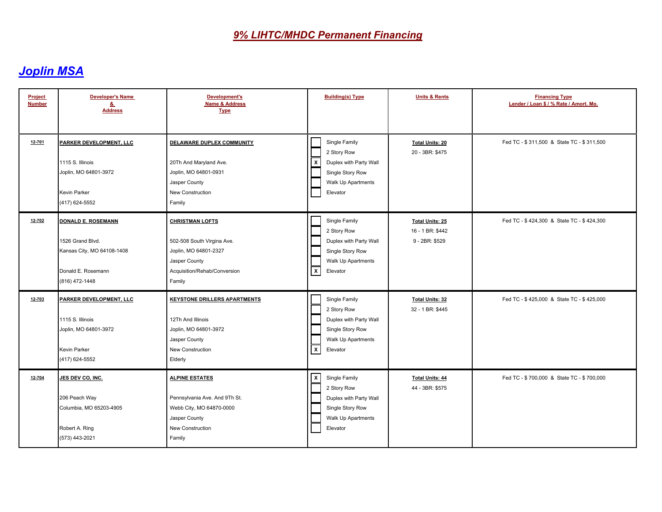| <b>Project</b><br><b>Number</b> | <b>Developer's Name</b><br><u>&amp;</u><br><b>Address</b>                                                    | <b>Development's</b><br><b>Name &amp; Address</b><br><b>Type</b>                                                                         | <b>Building(s) Type</b>                                                                                                      | <b>Units &amp; Rents</b>                                     | <b>Financing Type</b><br>Lender / Loan \$ / % Rate / Amort. Mo. |
|---------------------------------|--------------------------------------------------------------------------------------------------------------|------------------------------------------------------------------------------------------------------------------------------------------|------------------------------------------------------------------------------------------------------------------------------|--------------------------------------------------------------|-----------------------------------------------------------------|
| 12-701                          | PARKER DEVELOPMENT, LLC<br>1115 S. Illinois<br>Joplin, MO 64801-3972<br>Kevin Parker<br>(417) 624-5552       | DELAWARE DUPLEX COMMUNITY<br>20Th And Maryland Ave.<br>Joplin, MO 64801-0931<br>Jasper County<br>New Construction<br>Family              | Single Family<br>2 Story Row<br>Duplex with Party Wall<br>  x<br>Single Story Row<br>Walk Up Apartments<br>Elevator          | <b>Total Units: 20</b><br>20 - 3BR: \$475                    | Fed TC - \$311,500 & State TC - \$311,500                       |
| 12-702                          | DONALD E. ROSEMANN<br>1526 Grand Blvd.<br>Kansas City, MO 64108-1408<br>Donald E. Rosemann<br>(816) 472-1448 | <b>CHRISTMAN LOFTS</b><br>502-508 South Virgina Ave.<br>Joplin, MO 64801-2327<br>Jasper County<br>Acquisition/Rehab/Conversion<br>Family | Single Family<br>2 Story Row<br>Duplex with Party Wall<br>Single Story Row<br>Walk Up Apartments<br>$\mathsf{x}$<br>Elevator | <b>Total Units: 25</b><br>16 - 1 BR: \$442<br>9 - 2BR: \$529 | Fed TC - \$424,300 & State TC - \$424,300                       |
| 12-703                          | PARKER DEVELOPMENT, LLC<br>1115 S. Illinois<br>Joplin, MO 64801-3972<br>Kevin Parker<br>(417) 624-5552       | <b>KEYSTONE DRILLERS APARTMENTS</b><br>12Th And Illinois<br>Joplin, MO 64801-3972<br>Jasper County<br><b>New Construction</b><br>Elderly | Single Family<br>2 Story Row<br>Duplex with Party Wall<br>Single Story Row<br>Walk Up Apartments<br>$\mathsf{X}$<br>Elevator | <b>Total Units: 32</b><br>32 - 1 BR: \$445                   | Fed TC - \$425,000 & State TC - \$425,000                       |
| 12-704                          | JES DEV CO, INC.<br>206 Peach Way<br>Columbia, MO 65203-4905<br>Robert A. Ring<br>(573) 443-2021             | <b>ALPINE ESTATES</b><br>Pennsylvania Ave. And 9Th St.<br>Webb City, MO 64870-0000<br>Jasper County<br>New Construction<br>Family        | x<br>Single Family<br>2 Story Row<br>Duplex with Party Wall<br>Single Story Row<br>Walk Up Apartments<br>Elevator            | <b>Total Units: 44</b><br>44 - 3BR: \$575                    | Fed TC - \$700,000 & State TC - \$700,000                       |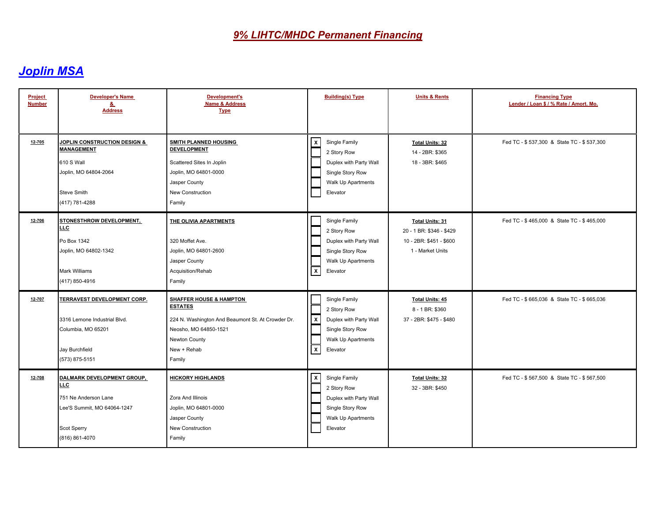| Project<br><b>Number</b> | <b>Developer's Name</b><br>&<br><b>Address</b>                                                                                       | <b>Development's</b><br><b>Name &amp; Address</b><br><b>Type</b>                                                                                                             | <b>Building(s) Type</b>                                                                                                                                 | <b>Units &amp; Rents</b>                                                                          | <b>Financing Type</b><br>Lender / Loan \$ / % Rate / Amort. Mo. |
|--------------------------|--------------------------------------------------------------------------------------------------------------------------------------|------------------------------------------------------------------------------------------------------------------------------------------------------------------------------|---------------------------------------------------------------------------------------------------------------------------------------------------------|---------------------------------------------------------------------------------------------------|-----------------------------------------------------------------|
| 12-705                   | <b>JOPLIN CONSTRUCTION DESIGN &amp;</b><br><b>MANAGEMENT</b><br>610 S Wall<br>Joplin, MO 64804-2064<br>Steve Smith<br>(417) 781-4288 | SMITH PLANNED HOUSING<br><b>DEVELOPMENT</b><br>Scattered Sites In Joplin<br>Joplin, MO 64801-0000<br>Jasper County<br>New Construction<br>Family                             | x<br>Single Family<br>2 Story Row<br>Duplex with Party Wall<br>Single Story Row<br>Walk Up Apartments<br>Elevator                                       | <b>Total Units: 32</b><br>14 - 2BR: \$365<br>18 - 3BR: \$465                                      | Fed TC - \$537,300 & State TC - \$537,300                       |
| 12-706                   | STONESTHROW DEVELOPMENT,<br>LLC<br>Po Box 1342<br>Joplin, MO 64802-1342<br><b>Mark Williams</b><br>(417) 850-4916                    | THE OLIVIA APARTMENTS<br>320 Moffet Ave.<br>Joplin, MO 64801-2600<br>Jasper County<br>Acquisition/Rehab<br>Family                                                            | Single Family<br>2 Story Row<br>Duplex with Party Wall<br>Single Story Row<br>Walk Up Apartments<br>$\mathbf{x}$<br>Elevator                            | <b>Total Units: 31</b><br>20 - 1 BR: \$346 - \$429<br>10 - 2BR: \$451 - \$600<br>1 - Market Units | Fed TC - \$465,000 & State TC - \$465,000                       |
| 12-707                   | TERRAVEST DEVELOPMENT CORP.<br>3316 Lemone Industrial Blvd.<br>Columbia, MO 65201<br>Jay Burchfield<br>(573) 875-5151                | <b>SHAFFER HOUSE &amp; HAMPTON</b><br><b>ESTATES</b><br>224 N. Washington And Beaumont St. At Crowder Dr.<br>Neosho, MO 64850-1521<br>Newton County<br>New + Rehab<br>Family | Single Family<br>2 Story Row<br>$\overline{\mathbf{x}}$<br>Duplex with Party Wall<br>Single Story Row<br>Walk Up Apartments<br>$\mathsf{X}$<br>Elevator | <b>Total Units: 45</b><br>8 - 1 BR: \$360<br>37 - 2BR: \$475 - \$480                              | Fed TC - \$665.036 & State TC - \$665.036                       |
| 12-708                   | DALMARK DEVELOPMENT GROUP,<br>LLC<br>751 Ne Anderson Lane<br>Lee'S Summit, MO 64064-1247<br>Scot Sperry<br>(816) 861-4070            | <b>HICKORY HIGHLANDS</b><br>Zora And Illinois<br>Joplin, MO 64801-0000<br>Jasper County<br>New Construction<br>Family                                                        | x<br>Single Family<br>2 Story Row<br>Duplex with Party Wall<br>Single Story Row<br>Walk Up Apartments<br>Elevator                                       | <b>Total Units: 32</b><br>32 - 3BR: \$450                                                         | Fed TC - \$567,500 & State TC - \$567,500                       |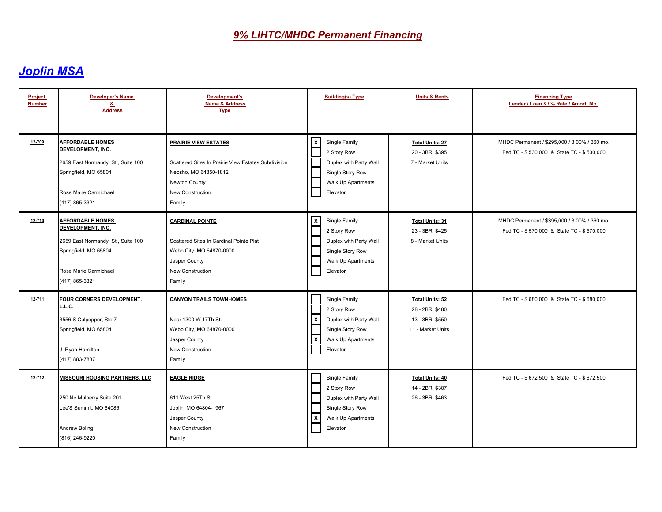| Project<br><b>Number</b> | <b>Developer's Name</b><br>&<br><b>Address</b>                                                                                                        | Development's<br><b>Name &amp; Address</b><br><b>Type</b>                                                                                                  | <b>Building(s) Type</b>                                                                                                                                   | <b>Units &amp; Rents</b>                                                          | <b>Financing Type</b><br>Lender / Loan \$ / % Rate / Amort. Mo.                           |
|--------------------------|-------------------------------------------------------------------------------------------------------------------------------------------------------|------------------------------------------------------------------------------------------------------------------------------------------------------------|-----------------------------------------------------------------------------------------------------------------------------------------------------------|-----------------------------------------------------------------------------------|-------------------------------------------------------------------------------------------|
| 12-709                   | <b>AFFORDABLE HOMES</b><br>DEVELOPMENT, INC.<br>2659 East Normandy St., Suite 100<br>Springfield, MO 65804<br>Rose Marie Carmichael<br>(417) 865-3321 | <b>PRAIRIE VIEW ESTATES</b><br>Scattered Sites In Prairie View Estates Subdivision<br>Neosho, MO 64850-1812<br>Newton County<br>New Construction<br>Family | x<br>Single Family<br>2 Story Row<br>Duplex with Party Wall<br>Single Story Row<br>Walk Up Apartments<br>Elevator                                         | <b>Total Units: 27</b><br>20 - 3BR: \$395<br>7 - Market Units                     | MHDC Permanent / \$295,000 / 3.00% / 360 mo.<br>Fed TC - \$530,000 & State TC - \$530,000 |
| 12-710                   | <b>AFFORDABLE HOMES</b><br>DEVELOPMENT, INC.<br>2659 East Normandy St., Suite 100<br>Springfield, MO 65804<br>Rose Marie Carmichael<br>(417) 865-3321 | <b>CARDINAL POINTE</b><br>Scattered Sites In Cardinal Pointe Plat<br>Webb City, MO 64870-0000<br>Jasper County<br>New Construction<br>Family               | $\boldsymbol{\mathsf{x}}$<br>Single Family<br>2 Story Row<br>Duplex with Party Wall<br>Single Story Row<br>Walk Up Apartments<br>Elevator                 | <b>Total Units: 31</b><br>23 - 3BR: \$425<br>8 - Market Units                     | MHDC Permanent / \$395,000 / 3.00% / 360 mo.<br>Fed TC - \$570,000 & State TC - \$570,000 |
| 12-711                   | FOUR CORNERS DEVELOPMENT,<br>L.C.<br>3556 S Culpepper, Ste 7<br>Springfield, MO 65804<br>J. Ryan Hamilton<br>(417) 883-7887                           | <b>CANYON TRAILS TOWNHOMES</b><br>Near 1300 W 17Th St.<br>Webb City, MO 64870-0000<br>Jasper County<br>New Construction<br>Family                          | Single Family<br>2 Story Row<br>Duplex with Party Wall<br>$\pmb{\chi}$<br>Single Story Row<br>$\boldsymbol{\mathsf{x}}$<br>Walk Up Apartments<br>Elevator | <b>Total Units: 52</b><br>28 - 2BR: \$480<br>13 - 3BR: \$550<br>11 - Market Units | Fed TC - \$680,000 & State TC - \$680,000                                                 |
| 12-712                   | MISSOURI HOUSING PARTNERS, LLC<br>250 Ne Mulberry Suite 201<br>Lee'S Summit, MO 64086<br><b>Andrew Boling</b><br>(816) 246-9220                       | <b>EAGLE RIDGE</b><br>611 West 25Th St.<br>Joplin, MO 64804-1967<br>Jasper County<br>New Construction<br>Family                                            | Single Family<br>2 Story Row<br>Duplex with Party Wall<br>Single Story Row<br>$\boldsymbol{\mathsf{x}}$<br>Walk Up Apartments<br>Elevator                 | <b>Total Units: 40</b><br>14 - 2BR: \$387<br>26 - 3BR: \$463                      | Fed TC - \$672,500 & State TC - \$672,500                                                 |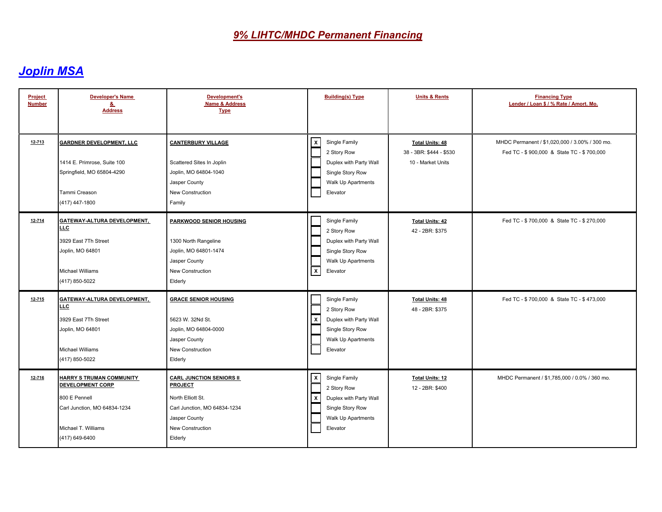| Project<br><b>Number</b> | <b>Developer's Name</b><br>&<br><b>Address</b>                                                                                                       | Development's<br><b>Name &amp; Address</b><br><b>Type</b>                                                                                              | <b>Building(s) Type</b>                                                                                                                          | <b>Units &amp; Rents</b>                                               | <b>Financing Type</b><br>Lender / Loan \$ / % Rate / Amort. Mo.                             |
|--------------------------|------------------------------------------------------------------------------------------------------------------------------------------------------|--------------------------------------------------------------------------------------------------------------------------------------------------------|--------------------------------------------------------------------------------------------------------------------------------------------------|------------------------------------------------------------------------|---------------------------------------------------------------------------------------------|
| 12-713                   | <b>GARDNER DEVELOPMENT, LLC</b><br>1414 E. Primrose, Suite 100<br>Springfield, MO 65804-4290<br>Tammi Creason<br>(417) 447-1800                      | <b>CANTERBURY VILLAGE</b><br>Scattered Sites In Joplin<br>Joplin, MO 64804-1040<br>Jasper County<br><b>New Construction</b><br>Family                  | $\mathsf{x}$<br>Single Family<br>2 Story Row<br>Duplex with Party Wall<br>Single Story Row<br>Walk Up Apartments<br>Elevator                     | <b>Total Units: 48</b><br>38 - 3BR: \$444 - \$530<br>10 - Market Units | MHDC Permanent / \$1,020,000 / 3.00% / 300 mo.<br>Fed TC - \$900,000 & State TC - \$700,000 |
| 12-714                   | <b>GATEWAY-ALTURA DEVELOPMENT,</b><br>LLC<br>3929 East 7Th Street<br>Joplin, MO 64801<br>Michael Williams<br>(417) 850-5022                          | PARKWOOD SENIOR HOUSING<br>1300 North Rangeline<br>Joplin, MO 64801-1474<br>Jasper County<br>New Construction<br>Elderly                               | Single Family<br>2 Story Row<br>Duplex with Party Wall<br>Single Story Row<br>Walk Up Apartments<br>$\boldsymbol{\mathsf{x}}$<br>Elevator        | <b>Total Units: 42</b><br>42 - 2BR: \$375                              | Fed TC - \$700,000 & State TC - \$270,000                                                   |
| $12 - 715$               | <b>GATEWAY-ALTURA DEVELOPMENT,</b><br>LLC.<br>3929 East 7Th Street<br>Joplin, MO 64801<br>Michael Williams<br>(417) 850-5022                         | <b>GRACE SENIOR HOUSING</b><br>5623 W. 32Nd St.<br>Joplin, MO 64804-0000<br>Jasper County<br>New Construction<br>Elderly                               | Single Family<br>2 Story Row<br>Duplex with Party Wall<br>X<br>Single Story Row<br>Walk Up Apartments<br>Elevator                                | <b>Total Units: 48</b><br>48 - 2BR: \$375                              | Fed TC - \$700,000 & State TC - \$473,000                                                   |
| 12-716                   | <b>HARRY S TRUMAN COMMUNITY</b><br><b>DEVELOPMENT CORP</b><br>800 E Pennell<br>Carl Junction, MO 64834-1234<br>Michael T. Williams<br>(417) 649-6400 | <b>CARL JUNCTION SENIORS II</b><br><b>PROJECT</b><br>North Elliott St.<br>Carl Junction, MO 64834-1234<br>Jasper County<br>New Construction<br>Elderly | $\boldsymbol{\mathsf{x}}$<br>Single Family<br>2 Story Row<br>  X<br>Duplex with Party Wall<br>Single Story Row<br>Walk Up Apartments<br>Elevator | <b>Total Units: 12</b><br>12 - 2BR: \$400                              | MHDC Permanent / \$1,785,000 / 0.0% / 360 mo.                                               |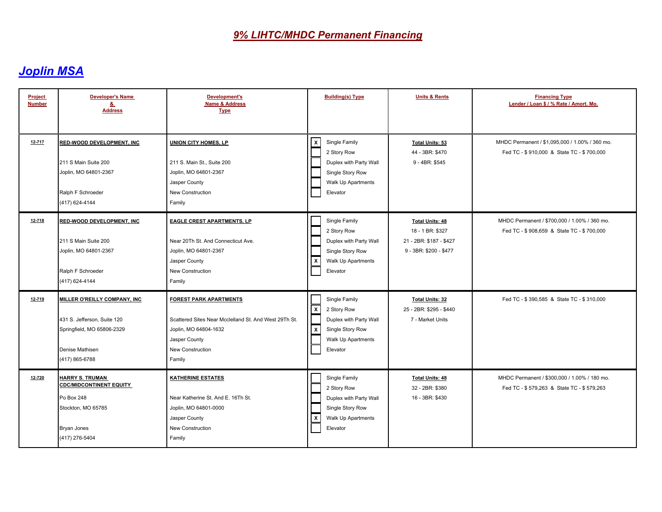| <b>Project</b><br><b>Number</b> | <b>Developer's Name</b><br>&<br><b>Address</b>                                                                                         | <b>Development's</b><br><b>Name &amp; Address</b><br><b>Type</b>                                                                                                      | <b>Building(s) Type</b>                                                                                                             | <b>Units &amp; Rents</b>                                                                        | <b>Financing Type</b><br>Lender / Loan \$ / % Rate / Amort. Mo.                             |
|---------------------------------|----------------------------------------------------------------------------------------------------------------------------------------|-----------------------------------------------------------------------------------------------------------------------------------------------------------------------|-------------------------------------------------------------------------------------------------------------------------------------|-------------------------------------------------------------------------------------------------|---------------------------------------------------------------------------------------------|
| $12 - 717$                      | <b>RED-WOOD DEVELOPMENT, INC.</b><br>211 S Main Suite 200<br>Joplin, MO 64801-2367<br>Ralph F Schroeder<br>(417) 624-4144              | <b>UNION CITY HOMES, LP</b><br>211 S. Main St., Suite 200<br>Joplin, MO 64801-2367<br>Jasper County<br>New Construction<br>Family                                     | ⊻<br>Single Family<br>2 Story Row<br>Duplex with Party Wall<br>Single Story Row<br>Walk Up Apartments<br>Elevator                   | Total Units: 53<br>44 - 3BR: \$470<br>9 - 4BR: \$545                                            | MHDC Permanent / \$1,095,000 / 1.00% / 360 mo.<br>Fed TC - \$910,000 & State TC - \$700,000 |
| 12-718                          | <b>RED-WOOD DEVELOPMENT, INC</b><br>211 S Main Suite 200<br>Joplin, MO 64801-2367<br>Ralph F Schroeder<br>(417) 624-4144               | <b>EAGLE CREST APARTMENTS, LP</b><br>Near 20Th St. And Connecticut Ave.<br>Joplin, MO 64801-2367<br>Jasper County<br>New Construction<br>Family                       | Single Family<br>2 Story Row<br>Duplex with Party Wall<br>Single Story Row<br>  x<br>Walk Up Apartments<br>Elevator                 | <b>Total Units: 48</b><br>18 - 1 BR: \$327<br>21 - 2BR: \$187 - \$427<br>9 - 3BR: \$200 - \$477 | MHDC Permanent / \$700,000 / 1.00% / 360 mo.<br>Fed TC - \$908,659 & State TC - \$700,000   |
| 12-719                          | <b>MILLER O'REILLY COMPANY, INC.</b><br>431 S. Jefferson, Suite 120<br>Springfield, MO 65806-2329<br>Denise Mathisen<br>(417) 865-6788 | <b>FOREST PARK APARTMENTS</b><br>Scattered Sites Near Mcclelland St. And West 29Th St.<br>Joplin, MO 64804-1632<br>Jasper County<br><b>New Construction</b><br>Family | Single Family<br>  x<br>2 Story Row<br>Duplex with Party Wall<br>$\mathsf{X}$<br>Single Story Row<br>Walk Up Apartments<br>Elevator | <b>Total Units: 32</b><br>25 - 2BR: \$295 - \$440<br>7 - Market Units                           | Fed TC - \$390,585 & State TC - \$310,000                                                   |
| 12-720                          | <b>HARRY S. TRUMAN</b><br><b>CDC/MIDCONTINENT EQUITY</b><br>Po Box 248<br>Stockton, MO 65785<br><b>Bryan Jones</b><br>(417) 276-5404   | <b>KATHERINE ESTATES</b><br>Near Katherine St. And E. 16Th St.<br>Joplin, MO 64801-0000<br>Jasper County<br>New Construction<br>Family                                | Single Family<br>2 Story Row<br>Duplex with Party Wall<br>Single Story Row<br>∣x<br>Walk Up Apartments<br>Elevator                  | <b>Total Units: 48</b><br>32 - 2BR: \$380<br>16 - 3BR: \$430                                    | MHDC Permanent / \$300,000 / 1.00% / 180 mo.<br>Fed TC - \$579,263 & State TC - \$579,263   |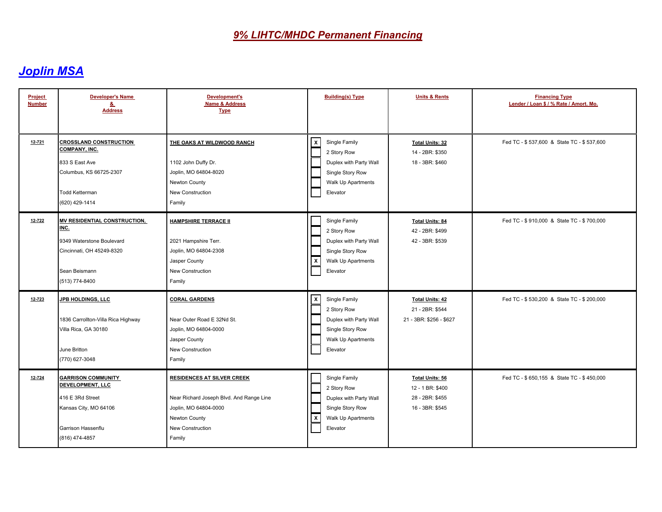| Project<br><b>Number</b> | <b>Developer's Name</b><br>&<br><b>Address</b>                                                                                                | <b>Development's</b><br><b>Name &amp; Address</b><br><b>Type</b>                                                                                      | <b>Building(s) Type</b>                                                                                                      | <b>Units &amp; Rents</b>                                                         | <b>Financing Type</b><br>Lender / Loan \$ / % Rate / Amort. Mo. |
|--------------------------|-----------------------------------------------------------------------------------------------------------------------------------------------|-------------------------------------------------------------------------------------------------------------------------------------------------------|------------------------------------------------------------------------------------------------------------------------------|----------------------------------------------------------------------------------|-----------------------------------------------------------------|
| 12-721                   | <b>CROSSLAND CONSTRUCTION</b><br><b>COMPANY, INC.</b><br>833 S East Ave<br>Columbus, KS 66725-2307<br><b>Todd Ketterman</b><br>(620) 429-1414 | THE OAKS AT WILDWOOD RANCH<br>1102 John Duffy Dr.<br>Joplin, MO 64804-8020<br>Newton County<br>New Construction<br>Family                             | $\mathsf{X}$<br>Single Family<br>2 Story Row<br>Duplex with Party Wall<br>Single Story Row<br>Walk Up Apartments<br>Elevator | <b>Total Units: 32</b><br>14 - 2BR: \$350<br>18 - 3BR: \$460                     | Fed TC - \$537,600 & State TC - \$537,600                       |
| 12-722                   | <b>MV RESIDENTIAL CONSTRUCTION.</b><br>INC.<br>9349 Waterstone Boulevard<br>Cincinnati, OH 45249-8320<br>Sean Beismann<br>(513) 774-8400      | <b>HAMPSHIRE TERRACE II</b><br>2021 Hampshire Terr.<br>Joplin, MO 64804-2308<br>Jasper County<br>New Construction<br>Family                           | Single Family<br>2 Story Row<br>Duplex with Party Wall<br>Single Story Row<br>  x<br>Walk Up Apartments<br>Elevator          | <b>Total Units: 84</b><br>42 - 2BR: \$499<br>42 - 3BR: \$539                     | Fed TC - \$910,000 & State TC - \$700,000                       |
| 12-723                   | <b>JPB HOLDINGS, LLC</b><br>1836 Carrollton-Villa Rica Highway<br>Villa Rica, GA 30180<br>June Britton<br>(770) 627-3048                      | <b>CORAL GARDENS</b><br>Near Outer Road E 32Nd St.<br>Joplin, MO 64804-0000<br>Jasper County<br>New Construction<br>Family                            | x<br>Single Family<br>2 Story Row<br>Duplex with Party Wall<br>Single Story Row<br>Walk Up Apartments<br>Elevator            | <b>Total Units: 42</b><br>21 - 2BR: \$544<br>21 - 3BR: \$256 - \$627             | Fed TC - \$530,200 & State TC - \$200,000                       |
| 12-724                   | <b>GARRISON COMMUNITY</b><br><b>DEVELOPMENT, LLC</b><br>416 E 3Rd Street<br>Kansas City, MO 64106<br>Garrison Hassenflu<br>(816) 474-4857     | <b>RESIDENCES AT SILVER CREEK</b><br>Near Richard Joseph Blvd. And Range Line<br>Joplin, MO 64804-0000<br>Newton County<br>New Construction<br>Family | Single Family<br>2 Story Row<br>Duplex with Party Wall<br>Single Story Row<br>∣x<br>Walk Up Apartments<br>Elevator           | <b>Total Units: 56</b><br>12 - 1 BR: \$400<br>28 - 2BR: \$455<br>16 - 3BR: \$545 | Fed TC - \$650,155 & State TC - \$450,000                       |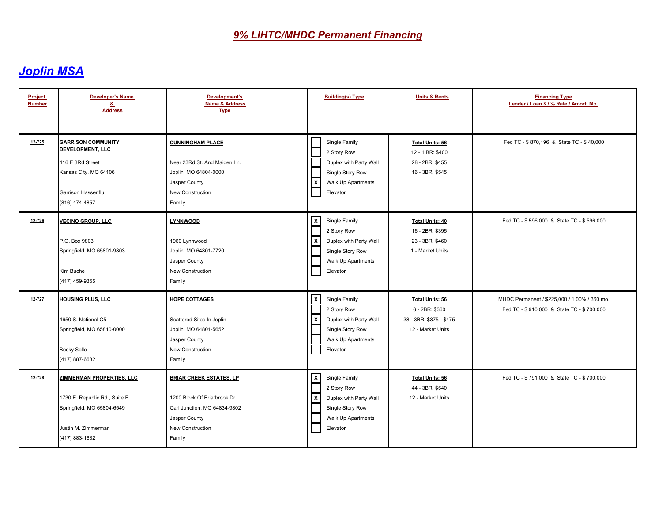| Project<br><b>Number</b> | <b>Developer's Name</b><br><u>&amp;</u><br><b>Address</b>                                                                                 | <b>Development's</b><br><b>Name &amp; Address</b><br><b>Type</b>                                                                              | <b>Building(s) Type</b>                                                                                                             | <b>Units &amp; Rents</b>                                                                 | <b>Financing Type</b><br>Lender / Loan \$ / % Rate / Amort. Mo.                           |
|--------------------------|-------------------------------------------------------------------------------------------------------------------------------------------|-----------------------------------------------------------------------------------------------------------------------------------------------|-------------------------------------------------------------------------------------------------------------------------------------|------------------------------------------------------------------------------------------|-------------------------------------------------------------------------------------------|
| $12 - 725$               | <b>GARRISON COMMUNITY</b><br><b>DEVELOPMENT, LLC</b><br>416 E 3Rd Street<br>Kansas City, MO 64106<br>Garrison Hassenflu<br>(816) 474-4857 | <b>CUNNINGHAM PLACE</b><br>Near 23Rd St. And Maiden Ln.<br>Joplin, MO 64804-0000<br>Jasper County<br>New Construction<br>Family               | Single Family<br>2 Story Row<br>Duplex with Party Wall<br>Single Story Row<br>  x<br>Walk Up Apartments<br>Elevator                 | <b>Total Units: 56</b><br>12 - 1 BR: \$400<br>28 - 2BR: \$455<br>16 - 3BR: \$545         | Fed TC - \$870,196 & State TC - \$40,000                                                  |
| 12-726                   | <b>VECINO GROUP, LLC</b><br>P.O. Box 9803<br>Springfield, MO 65801-9803<br>Kim Buche<br>(417) 459-9355                                    | <b>LYNNWOOD</b><br>1960 Lynnwood<br>Joplin, MO 64801-7720<br>Jasper County<br>New Construction<br>Family                                      | x<br>Single Family<br>2 Story Row<br>  x<br>Duplex with Party Wall<br>Single Story Row<br>Walk Up Apartments<br>Elevator            | <b>Total Units: 40</b><br>16 - 2BR: \$395<br>23 - 3BR: \$460<br>1 - Market Units         | Fed TC - \$596,000 & State TC - \$596,000                                                 |
| 12-727                   | HOUSING PLUS, LLC<br>4650 S. National C5<br>Springfield, MO 65810-0000<br><b>Becky Selle</b><br>(417) 887-6682                            | <b>HOPE COTTAGES</b><br>Scattered Sites In Joplin<br>Joplin, MO 64801-5652<br>Jasper County<br>New Construction<br>Family                     | x<br>Single Family<br>2 Story Row<br>$\mathbf{x}$<br>Duplex with Party Wall<br>Single Story Row<br>Walk Up Apartments<br>Elevator   | <b>Total Units: 56</b><br>6 - 2BR: \$360<br>38 - 3BR: \$375 - \$475<br>12 - Market Units | MHDC Permanent / \$225,000 / 1.00% / 360 mo.<br>Fed TC - \$910,000 & State TC - \$700,000 |
| 12-728                   | ZIMMERMAN PROPERTIES, LLC<br>1730 E. Republic Rd., Suite F<br>Springfield, MO 65804-6549<br>Justin M. Zimmerman<br>(417) 883-1632         | <b>BRIAR CREEK ESTATES, LP</b><br>1200 Block Of Briarbrook Dr.<br>Carl Junction, MO 64834-9802<br>Jasper County<br>New Construction<br>Family | $\mathsf{X}$<br>Single Family<br>2 Story Row<br>l x<br>Duplex with Party Wall<br>Single Story Row<br>Walk Up Apartments<br>Elevator | <b>Total Units: 56</b><br>44 - 3BR: \$540<br>12 - Market Units                           | Fed TC - \$791,000 & State TC - \$700,000                                                 |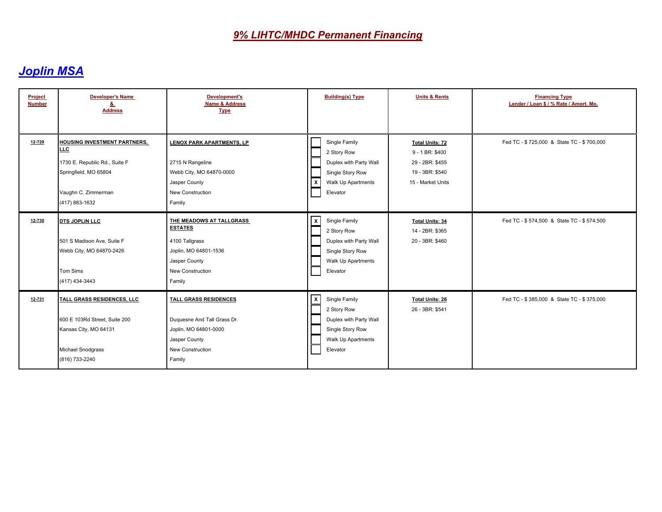| Project<br><b>Number</b> | <b>Developer's Name</b><br>&<br><b>Address</b>                                                                                                | <b>Development's</b><br><b>Name &amp; Address</b><br><b>Type</b>                                                                     | <b>Building(s) Type</b>                                                                                                                 | <b>Units &amp; Rents</b>                                                                             | <b>Financing Type</b><br>Lender / Loan \$ / % Rate / Amort. Mo. |
|--------------------------|-----------------------------------------------------------------------------------------------------------------------------------------------|--------------------------------------------------------------------------------------------------------------------------------------|-----------------------------------------------------------------------------------------------------------------------------------------|------------------------------------------------------------------------------------------------------|-----------------------------------------------------------------|
| 12-729                   | <b>HOUSING INVESTMENT PARTNERS,</b><br>LLC<br>1730 E. Republic Rd., Suite F<br>Springfield, MO 65804<br>Vaughn C. Zimmerman<br>(417) 883-1632 | <b>LENOX PARK APARTMENTS, LP</b><br>2715 N Rangeline<br>Webb City, MO 64870-0000<br>Jasper County<br>New Construction<br>Family      | Single Family<br>2 Story Row<br>Duplex with Party Wall<br>Single Story Row<br>  x<br>Walk Up Apartments<br>Elevator                     | <b>Total Units: 72</b><br>9 - 1 BR: \$400<br>29 - 2BR: \$455<br>19 - 3BR: \$540<br>15 - Market Units | Fed TC - \$725,000 & State TC - \$700,000                       |
| 12-730                   | <b>DTS JOPLIN LLC</b><br>501 S Madison Ave, Suite F<br>Webb City, MO 64870-2426<br>Tom Sims<br>(417) 434-3443                                 | THE MEADOWS AT TALLGRASS<br><b>ESTATES</b><br>4100 Tallgrass<br>Joplin, MO 64801-1536<br>Jasper County<br>New Construction<br>Family | x<br>Single Family<br>2 Story Row<br>Duplex with Party Wall<br>Single Story Row<br>Walk Up Apartments<br>Elevator                       | <b>Total Units: 34</b><br>14 - 2BR: \$365<br>20 - 3BR: \$460                                         | Fed TC - \$574,500 & State TC - \$574,500                       |
| 12-731                   | TALL GRASS RESIDENCES, LLC<br>600 E 103Rd Street, Suite 200<br>Kansas City, MO 64131<br><b>Michael Snodgrass</b><br>(816) 733-2240            | <b>TALL GRASS RESIDENCES</b><br>Duquesne And Tall Grass Dr.<br>Joplin, MO 64801-0000<br>Jasper County<br>New Construction<br>Family  | $\overline{\mathsf{x}}$<br>Single Family<br>2 Story Row<br>Duplex with Party Wall<br>Single Story Row<br>Walk Up Apartments<br>Elevator | <b>Total Units: 26</b><br>26 - 3BR: \$541                                                            | Fed TC - \$385,000 & State TC - \$375,000                       |